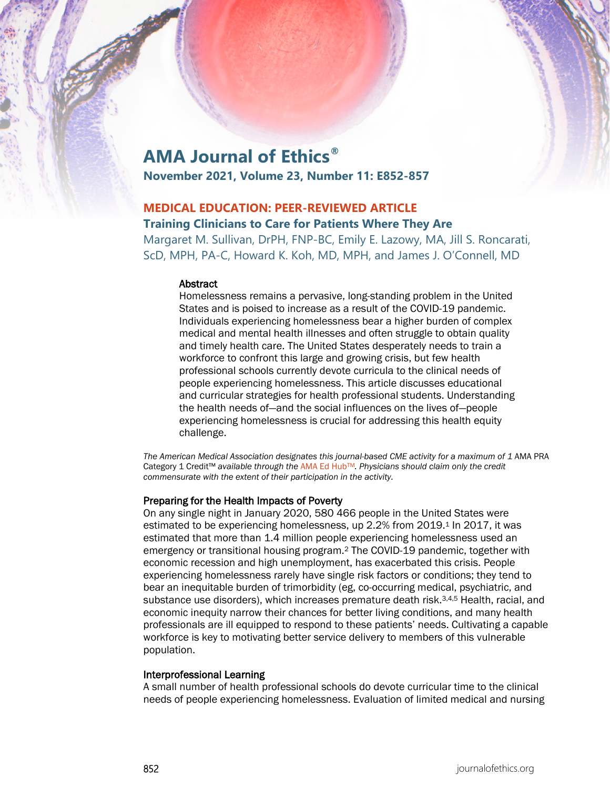# **AMA Journal of Ethics®**

**November 2021, Volume 23, Number 11: E852-857**

# **MEDICAL EDUCATION: PEER-REVIEWED ARTICLE**

# **Training Clinicians to Care for Patients Where They Are**

Margaret M. Sullivan, DrPH, FNP-BC, Emily E. Lazowy, MA, Jill S. Roncarati, ScD, MPH, PA-C, Howard K. Koh, MD, MPH, and James J. O'Connell, MD

#### **Abstract**

Homelessness remains a pervasive, long-standing problem in the United States and is poised to increase as a result of the COVID-19 pandemic. Individuals experiencing homelessness bear a higher burden of complex medical and mental health illnesses and often struggle to obtain quality and timely health care. The United States desperately needs to train a workforce to confront this large and growing crisis, but few health professional schools currently devote curricula to the clinical needs of people experiencing homelessness. This article discusses educational and curricular strategies for health professional students. Understanding the health needs of—and the social influences on the lives of—people experiencing homelessness is crucial for addressing this health equity challenge.

*The American Medical Association designates this journal-based CME activity for a maximum of 1* AMA PRA Category 1 Credit™ *available through the* [AMA Ed HubTM](https://edhub.ama-assn.org/ama-journal-of-ethics/module/2785320)*. Physicians should claim only the credit commensurate with the extent of their participation in the activity.*

#### Preparing for the Health Impacts of Poverty

On any single night in January 2020, 580 466 people in the United States were estimated to be experiencing homelessness, up 2.2% from 2019.<sup>1</sup> In 2017, it was estimated that more than 1.4 million people experiencing homelessness used an emergency or transitional housing program.2 The COVID-19 pandemic, together with economic recession and high unemployment, has exacerbated this crisis. People experiencing homelessness rarely have single risk factors or conditions; they tend to bear an inequitable burden of trimorbidity (eg, co-occurring medical, psychiatric, and substance use disorders), which increases premature death risk.<sup>3,4,5</sup> Health, racial, and economic inequity narrow their chances for better living conditions, and many health professionals are ill equipped to respond to these patients' needs. Cultivating a capable workforce is key to motivating better service delivery to members of this vulnerable population.

#### Interprofessional Learning

A small number of health professional schools do devote curricular time to the clinical needs of people experiencing homelessness. Evaluation of limited medical and nursing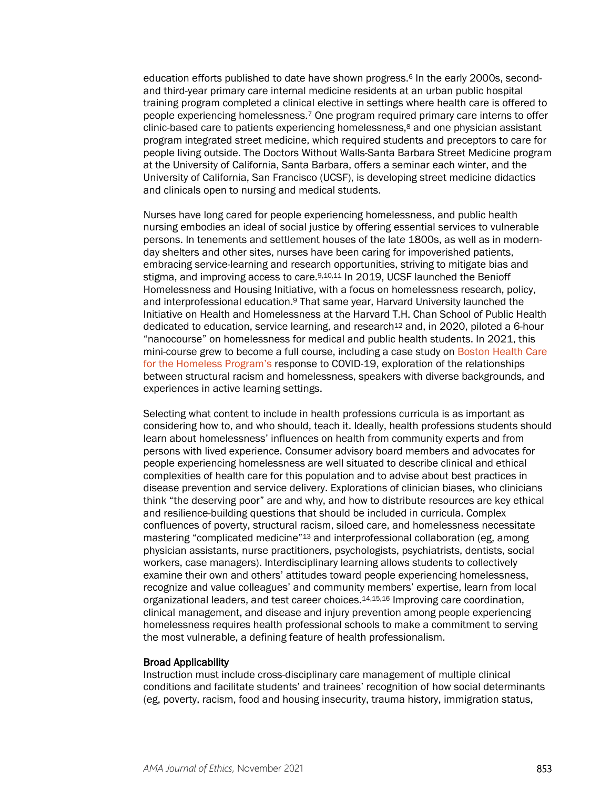education efforts published to date have shown progress.<sup>6</sup> In the early 2000s, secondand third-year primary care internal medicine residents at an urban public hospital training program completed a clinical elective in settings where health care is offered to people experiencing homelessness.7 One program required primary care interns to offer clinic-based care to patients experiencing homelessness,8 and one physician assistant program integrated street medicine, which required students and preceptors to care for people living outside. The Doctors Without Walls-Santa Barbara Street Medicine program at the University of California, Santa Barbara, offers a seminar each winter, and the University of California, San Francisco (UCSF), is developing street medicine didactics and clinicals open to nursing and medical students.

Nurses have long cared for people experiencing homelessness, and public health nursing embodies an ideal of social justice by offering essential services to vulnerable persons. In tenements and settlement houses of the late 1800s, as well as in modernday shelters and other sites, nurses have been caring for impoverished patients, embracing service-learning and research opportunities, striving to mitigate bias and stigma, and improving access to care.<sup>9,10,11</sup> In 2019, UCSF launched the Benioff Homelessness and Housing Initiative, with a focus on homelessness research, policy, and interprofessional education.9 That same year, Harvard University launched the Initiative on Health and Homelessness at the Harvard T.H. Chan School of Public Health dedicated to education, service learning, and research<sup>12</sup> and, in 2020, piloted a 6-hour "nanocourse" on homelessness for medical and public health students. In 2021, this mini-course grew to become a full course, including a case study on [Boston Health Care](https://journalofethics.ama-assn.org/article/boston-healthcare-homeless-program-success-story/2009-01)  [for the Homeless Program's](https://journalofethics.ama-assn.org/article/boston-healthcare-homeless-program-success-story/2009-01) response to COVID-19, exploration of the relationships between structural racism and homelessness, speakers with diverse backgrounds, and experiences in active learning settings.

Selecting what content to include in health professions curricula is as important as considering how to, and who should, teach it. Ideally, health professions students should learn about homelessness' influences on health from community experts and from persons with lived experience. Consumer advisory board members and advocates for people experiencing homelessness are well situated to describe clinical and ethical complexities of health care for this population and to advise about best practices in disease prevention and service delivery. Explorations of clinician biases, who clinicians think "the deserving poor" are and why, and how to distribute resources are key ethical and resilience-building questions that should be included in curricula. Complex confluences of poverty, structural racism, siloed care, and homelessness necessitate mastering "complicated medicine"13 and interprofessional collaboration (eg, among physician assistants, nurse practitioners, psychologists, psychiatrists, dentists, social workers, case managers). Interdisciplinary learning allows students to collectively examine their own and others' attitudes toward people experiencing homelessness, recognize and value colleagues' and community members' expertise, learn from local organizational leaders, and test career choices.14,15,16 Improving care coordination, clinical management, and disease and injury prevention among people experiencing homelessness requires health professional schools to make a commitment to serving the most vulnerable, a defining feature of health professionalism.

#### Broad Applicability

Instruction must include cross-disciplinary care management of multiple clinical conditions and facilitate students' and trainees' recognition of how social determinants (eg, poverty, racism, food and housing insecurity, trauma history, immigration status,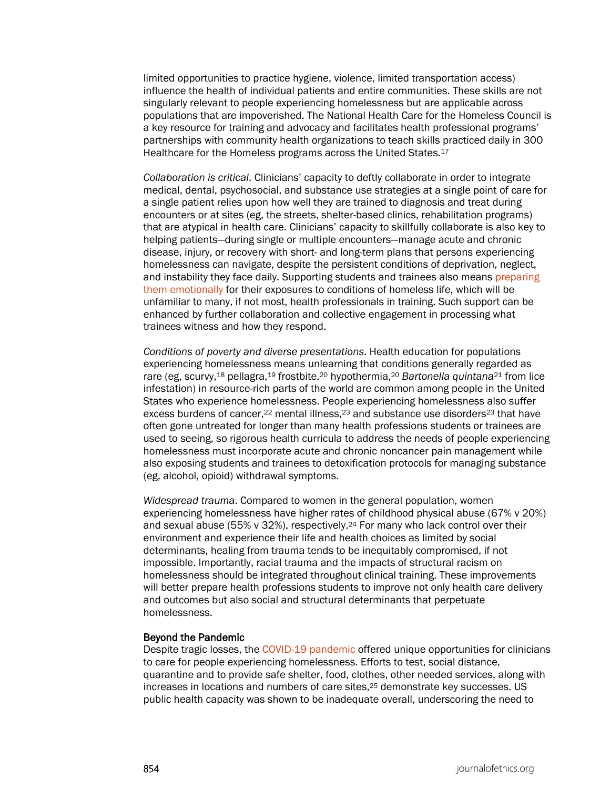limited opportunities to practice hygiene, violence, limited transportation access) influence the health of individual patients and entire communities. These skills are not singularly relevant to people experiencing homelessness but are applicable across populations that are impoverished. The National Health Care for the Homeless Council is a key resource for training and advocacy and facilitates health professional programs' partnerships with community health organizations to teach skills practiced daily in 300 Healthcare for the Homeless programs across the United States.<sup>17</sup>

*Collaboration is critical*. Clinicians' capacity to deftly collaborate in order to integrate medical, dental, psychosocial, and substance use strategies at a single point of care for a single patient relies upon how well they are trained to diagnosis and treat during encounters or at sites (eg, the streets, shelter-based clinics, rehabilitation programs) that are atypical in health care. Clinicians' capacity to skillfully collaborate is also key to helping patients—during single or multiple encounters—manage acute and chronic disease, injury, or recovery with short- and long-term plans that persons experiencing homelessness can navigate, despite the persistent conditions of deprivation, neglect, and instability they face daily. Supporting students and trainees also means preparing [them emotionally](https://journalofethics.ama-assn.org/article/taking-our-oath-seriously-compassion-patients/2016-01) for their exposures to conditions of homeless life, which will be unfamiliar to many, if not most, health professionals in training. Such support can be enhanced by further collaboration and collective engagement in processing what trainees witness and how they respond.

*Conditions of poverty and diverse presentations*. Health education for populations experiencing homelessness means unlearning that conditions generally regarded as rare (eg, scurvy,18 pellagra,19 frostbite,20 hypothermia,20 *Bartonella quintana*<sup>21</sup> from lice infestation) in resource-rich parts of the world are common among people in the United States who experience homelessness. People experiencing homelessness also suffer excess burdens of cancer,<sup>22</sup> mental illness, $2<sup>3</sup>$  and substance use disorders<sup>23</sup> that have often gone untreated for longer than many health professions students or trainees are used to seeing, so rigorous health curricula to address the needs of people experiencing homelessness must incorporate acute and chronic noncancer pain management while also exposing students and trainees to detoxification protocols for managing substance (eg, alcohol, opioid) withdrawal symptoms.

*Widespread trauma*. Compared to women in the general population, women experiencing homelessness have higher rates of childhood physical abuse (67% v 20%) and sexual abuse (55% v 32%), respectively.24 For many who lack control over their environment and experience their life and health choices as limited by social determinants, healing from trauma tends to be inequitably compromised, if not impossible. Importantly, racial trauma and the impacts of structural racism on homelessness should be integrated throughout clinical training. These improvements will better prepare health professions students to improve not only health care delivery and outcomes but also social and structural determinants that perpetuate homelessness.

#### Beyond the Pandemic

Despite tragic losses, the [COVID-19 pandemic](https://journalofethics.ama-assn.org/article/should-personal-autonomy-be-more-restricted-person-experiencing-homelessness-others/2021-11) offered unique opportunities for clinicians to care for people experiencing homelessness. Efforts to test, social distance, quarantine and to provide safe shelter, food, clothes, other needed services, along with increases in locations and numbers of care sites,25 demonstrate key successes. US public health capacity was shown to be inadequate overall, underscoring the need to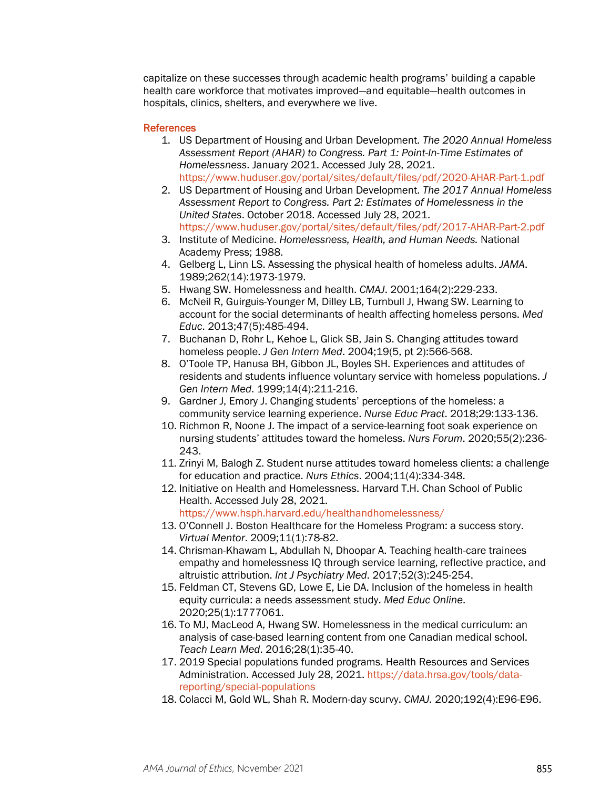capitalize on these successes through academic health programs' building a capable health care workforce that motivates improved—and equitable—health outcomes in hospitals, clinics, shelters, and everywhere we live.

### References

- 1. US Department of Housing and Urban Development. *The 2020 Annual Homeless Assessment Report (AHAR) to Congress. Part 1: Point-In-Time Estimates of Homelessness*. January 2021. Accessed July 28, 2021. <https://www.huduser.gov/portal/sites/default/files/pdf/2020-AHAR-Part-1.pdf>
- 2. US Department of Housing and Urban Development. *The 2017 Annual Homeless Assessment Report to Congress. Part 2: Estimates of Homelessness in the United States*. October 2018. Accessed July 28, 2021. <https://www.huduser.gov/portal/sites/default/files/pdf/2017-AHAR-Part-2.pdf>
- 3. Institute of Medicine. *Homelessness, Health, and Human Needs.* National Academy Press; 1988.
- 4. Gelberg L, Linn LS. Assessing the physical health of homeless adults. *JAMA*. 1989;262(14):1973-1979.
- 5. Hwang SW. Homelessness and health. *CMAJ*. 2001;164(2):229-233.
- 6. McNeil R, Guirguis-Younger M, Dilley LB, Turnbull J, Hwang SW. Learning to account for the social determinants of health affecting homeless persons. *Med Educ*. 2013;47(5):485-494.
- 7. Buchanan D, Rohr L, Kehoe L, Glick SB, Jain S. Changing attitudes toward homeless people. *J Gen Intern Med*. 2004;19(5, pt 2):566-568.
- 8. O'Toole TP, Hanusa BH, Gibbon JL, Boyles SH. Experiences and attitudes of residents and students influence voluntary service with homeless populations. *J Gen Intern Med*. 1999;14(4):211-216.
- 9. Gardner J, Emory J. Changing students' perceptions of the homeless: a community service learning experience. *Nurse Educ Pract*. 2018;29:133-136.
- 10. Richmon R, Noone J. The impact of a service-learning foot soak experience on nursing students' attitudes toward the homeless. *Nurs Forum*. 2020;55(2):236- 243.
- 11. Zrinyi M, Balogh Z. Student nurse attitudes toward homeless clients: a challenge for education and practice. *Nurs Ethics*. 2004;11(4):334-348.
- 12. Initiative on Health and Homelessness. Harvard T.H. Chan School of Public Health. Accessed July 28, 2021.
	- <https://www.hsph.harvard.edu/healthandhomelessness/>
- 13. O'Connell J. Boston Healthcare for the Homeless Program: a success story. *Virtual Mentor*. 2009;11(1):78-82.
- 14. Chrisman-Khawam L, Abdullah N, Dhoopar A. Teaching health-care trainees empathy and homelessness IQ through service learning, reflective practice, and altruistic attribution. *Int J Psychiatry Med*. 2017;52(3):245-254.
- 15. Feldman CT, Stevens GD, Lowe E, Lie DA. Inclusion of the homeless in health equity curricula: a needs assessment study. *Med Educ Online*. 2020;25(1):1777061.
- 16. To MJ, MacLeod A, Hwang SW. Homelessness in the medical curriculum: an analysis of case-based learning content from one Canadian medical school. *Teach Learn Med*. 2016;28(1):35-40.
- 17. 2019 Special populations funded programs. Health Resources and Services Administration. Accessed July 28, 2021. [https://data.hrsa.gov/tools/data](https://data.hrsa.gov/tools/data-reporting/special-populations)[reporting/special-populations](https://data.hrsa.gov/tools/data-reporting/special-populations)
- 18. Colacci M, Gold WL, Shah R. Modern-day scurvy. *CMAJ.* 2020;192(4):E96-E96.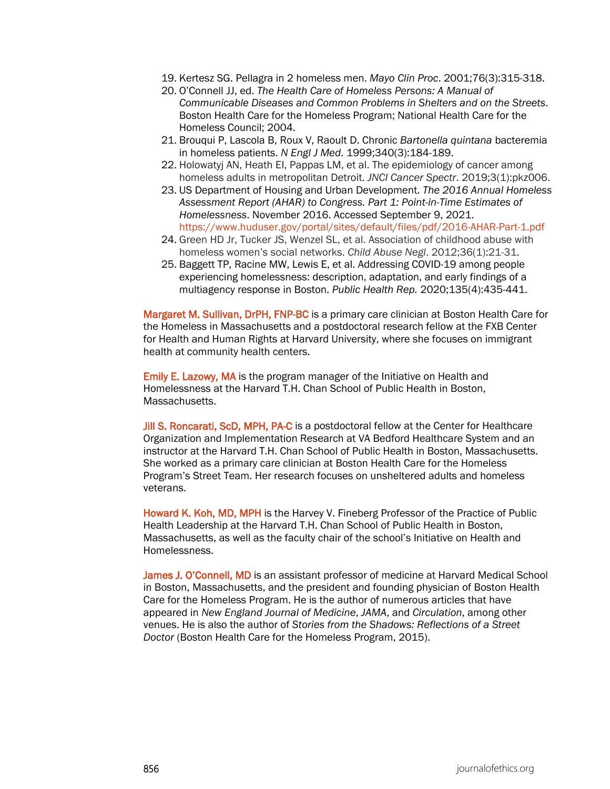- 19. Kertesz SG. Pellagra in 2 homeless men. *Mayo Clin Proc*. 2001;76(3):315-318.
- 20. O'Connell JJ, ed. *The Health Care of Homeless Persons: A Manual of Communicable Diseases and Common Problems in Shelters and on the Streets*. Boston Health Care for the Homeless Program; National Health Care for the Homeless Council; 2004.
- 21. Brouqui P, Lascola B, Roux V, Raoult D. Chronic *Bartonella quintana* bacteremia in homeless patients. *N Engl J Med*. 1999;340(3):184-189.
- 22. Holowatyj AN, Heath EI, Pappas LM, et al. The epidemiology of cancer among homeless adults in metropolitan Detroit. *JNCI Cancer Spectr*. 2019;3(1):pkz006.
- 23. US Department of Housing and Urban Development. *The 2016 Annual Homeless Assessment Report (AHAR) to Congress. Part 1: Point-in-Time Estimates of Homelessness*. November 2016. Accessed September 9, 2021. <https://www.huduser.gov/portal/sites/default/files/pdf/2016-AHAR-Part-1.pdf>
- 24. Green HD Jr, Tucker JS, Wenzel SL, et al. Association of childhood abuse with homeless women's social networks. *Child Abuse Negl*. 2012;36(1):21-31.
- 25. Baggett TP, Racine MW, Lewis E, et al. Addressing COVID-19 among people experiencing homelessness: description, adaptation, and early findings of a multiagency response in Boston. *Public Health Rep.* 2020;135(4):435-441.

Margaret M. Sullivan, DrPH, FNP-BC is a primary care clinician at Boston Health Care for the Homeless in Massachusetts and a postdoctoral research fellow at the FXB Center for Health and Human Rights at Harvard University, where she focuses on immigrant health at community health centers.

Emily E. Lazowy, MA is the program manager of the Initiative on Health and Homelessness at the Harvard T.H. Chan School of Public Health in Boston, Massachusetts.

Jill S. Roncarati, ScD, MPH, PA-C is a postdoctoral fellow at the Center for Healthcare Organization and Implementation Research at VA Bedford Healthcare System and an instructor at the Harvard T.H. Chan School of Public Health in Boston, Massachusetts. She worked as a primary care clinician at Boston Health Care for the Homeless Program's Street Team. Her research focuses on unsheltered adults and homeless veterans.

Howard K. Koh, MD, MPH is the Harvey V. Fineberg Professor of the Practice of Public Health Leadership at the Harvard T.H. Chan School of Public Health in Boston, Massachusetts, as well as the faculty chair of the school's Initiative on Health and Homelessness.

James J. O'Connell, MD is an assistant professor of medicine at Harvard Medical School in Boston, Massachusetts, and the president and founding physician of Boston Health Care for the Homeless Program. He is the author of numerous articles that have appeared in *New England Journal of Medicine*, *JAMA*, and *Circulation*, among other venues. He is also the author of *Stories from the Shadows: Reflections of a Street Doctor* (Boston Health Care for the Homeless Program, 2015).